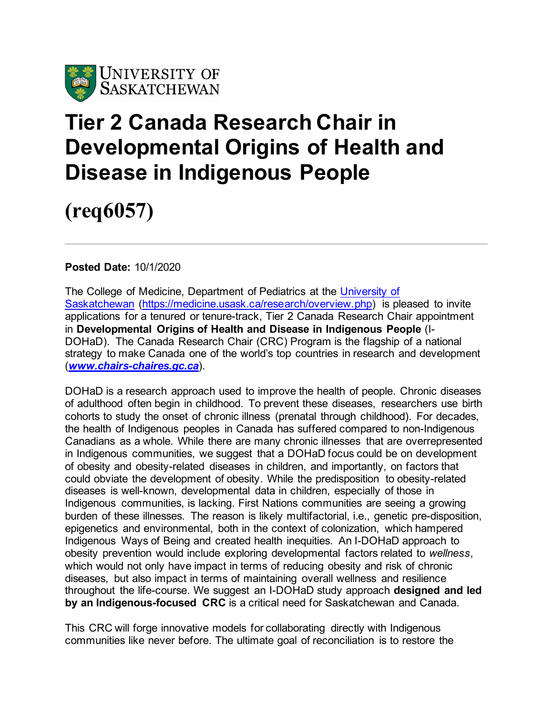

## **Tier 2 Canada Research Chair in Developmental Origins of Health and Disease in Indigenous People**

**(req6057)**

**Posted Date:** 10/1/2020

The College of Medicine, Department of Pediatrics at the [University of](http://www.usask.ca/)  [Saskatchewan](http://www.usask.ca/) [\(https://medicine.usask.ca/research/overview.php\)](https://medicine.usask.ca/research/overview.php) is pleased to invite applications for a tenured or tenure-track, Tier 2 Canada Research Chair appointment in **Developmental Origins of Health and Disease in Indigenous People** (I-DOHaD). The Canada Research Chair (CRC) Program is the flagship of a national strategy to make Canada one of the world's top countries in research and development (*[www.chairs-chaires.gc.ca](http://www.chairs-chaires.gc.ca/)*).

DOHaD is a research approach used to improve the health of people. Chronic diseases of adulthood often begin in childhood. To prevent these diseases, researchers use birth cohorts to study the onset of chronic illness (prenatal through childhood). For decades, the health of Indigenous peoples in Canada has suffered compared to non-Indigenous Canadians as a whole. While there are many chronic illnesses that are overrepresented in Indigenous communities, we suggest that a DOHaD focus could be on development of obesity and obesity-related diseases in children, and importantly, on factors that could obviate the development of obesity. While the predisposition to obesity-related diseases is well-known, developmental data in children, especially of those in Indigenous communities, is lacking. First Nations communities are seeing a growing burden of these illnesses. The reason is likely multifactorial, i.e., genetic pre-disposition, epigenetics and environmental, both in the context of colonization, which hampered Indigenous Ways of Being and created health inequities. An I-DOHaD approach to obesity prevention would include exploring developmental factors related to *wellness*, which would not only have impact in terms of reducing obesity and risk of chronic diseases, but also impact in terms of maintaining overall wellness and resilience throughout the life-course. We suggest an I-DOHaD study approach **designed and led by an Indigenous-focused CRC** is a critical need for Saskatchewan and Canada.

This CRC will forge innovative models for collaborating directly with Indigenous communities like never before. The ultimate goal of reconciliation is to restore the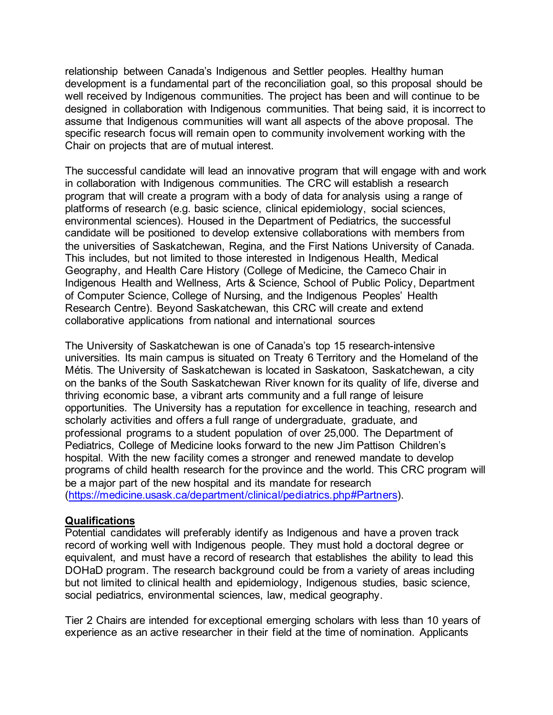relationship between Canada's Indigenous and Settler peoples. Healthy human development is a fundamental part of the reconciliation goal, so this proposal should be well received by Indigenous communities. The project has been and will continue to be designed in collaboration with Indigenous communities. That being said, it is incorrect to assume that Indigenous communities will want all aspects of the above proposal. The specific research focus will remain open to community involvement working with the Chair on projects that are of mutual interest.

The successful candidate will lead an innovative program that will engage with and work in collaboration with Indigenous communities. The CRC will establish a research program that will create a program with a body of data for analysis using a range of platforms of research (e.g. basic science, clinical epidemiology, social sciences, environmental sciences). Housed in the Department of Pediatrics, the successful candidate will be positioned to develop extensive collaborations with members from the universities of Saskatchewan, Regina, and the First Nations University of Canada. This includes, but not limited to those interested in Indigenous Health, Medical Geography, and Health Care History (College of Medicine, the Cameco Chair in Indigenous Health and Wellness, Arts & Science, School of Public Policy, Department of Computer Science, College of Nursing, and the Indigenous Peoples' Health Research Centre). Beyond Saskatchewan, this CRC will create and extend collaborative applications from national and international sources

The University of Saskatchewan is one of Canada's top 15 research-intensive universities. Its main campus is situated on Treaty 6 Territory and the Homeland of the Métis. The University of Saskatchewan is located in Saskatoon, Saskatchewan, a city on the banks of the South Saskatchewan River known for its quality of life, diverse and thriving economic base, a vibrant arts community and a full range of leisure opportunities. The University has a reputation for excellence in teaching, research and scholarly activities and offers a full range of undergraduate, graduate, and professional programs to a student population of over 25,000. The Department of Pediatrics, College of Medicine looks forward to the new Jim Pattison Children's hospital. With the new facility comes a stronger and renewed mandate to develop programs of child health research for the province and the world. This CRC program will be a major part of the new hospital and its mandate for research [\(https://medicine.usask.ca/department/clinical/pediatrics.php#Partners\).](https://medicine.usask.ca/department/clinical/pediatrics.php#Partners)

## **Qualifications**

Potential candidates will preferably identify as Indigenous and have a proven track record of working well with Indigenous people. They must hold a doctoral degree or equivalent, and must have a record of research that establishes the ability to lead this DOHaD program. The research background could be from a variety of areas including but not limited to clinical health and epidemiology, Indigenous studies, basic science, social pediatrics, environmental sciences, law, medical geography.

Tier 2 Chairs are intended for exceptional emerging scholars with less than 10 years of experience as an active researcher in their field at the time of nomination. Applicants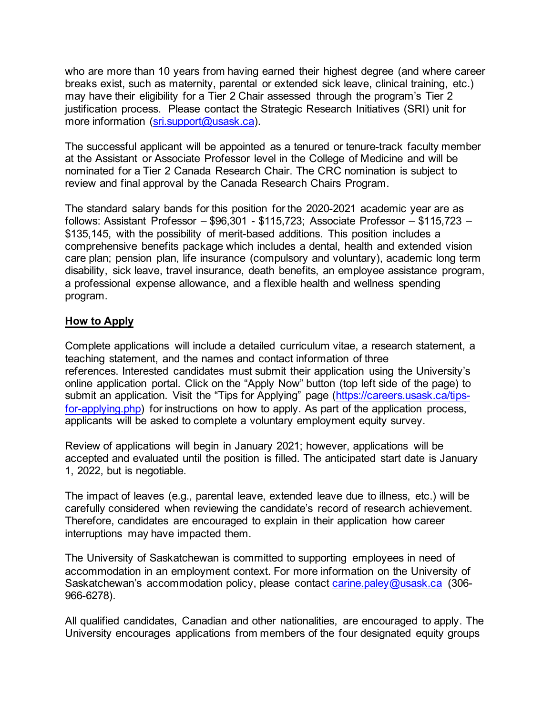who are more than 10 years from having earned their highest degree (and where career breaks exist, such as maternity, parental or extended sick leave, clinical training, etc.) may have their eligibility for a Tier 2 Chair assessed through the program's Tier 2 justification process. Please contact the Strategic Research Initiatives (SRI) unit for more information [\(sri.support@usask.ca\).](mailto:sri.support@usask.ca)

The successful applicant will be appointed as a tenured or tenure-track faculty member at the Assistant or Associate Professor level in the College of Medicine and will be nominated for a Tier 2 Canada Research Chair. The CRC nomination is subject to review and final approval by the Canada Research Chairs Program.

The standard salary bands for this position for the 2020-2021 academic year are as follows: Assistant Professor – \$96,301 - \$115,723; Associate Professor – \$115,723 – \$135,145, with the possibility of merit-based additions. This position includes a comprehensive benefits package which includes a dental, health and extended vision care plan; pension plan, life insurance (compulsory and voluntary), academic long term disability, sick leave, travel insurance, death benefits, an employee assistance program, a professional expense allowance, and a flexible health and wellness spending program.

## **How to Apply**

Complete applications will include a detailed curriculum vitae, a research statement, a teaching statement, and the names and contact information of three references. Interested candidates must submit their application using the University's online application portal. Click on the "Apply Now" button (top left side of the page) to submit an application. Visit the "Tips for Applying" page [\(https://careers.usask.ca/tips](https://careers.usask.ca/tips-for-applying.php)[for-applying.php\)](https://careers.usask.ca/tips-for-applying.php) for instructions on how to apply. As part of the application process, applicants will be asked to complete a voluntary employment equity survey.

Review of applications will begin in January 2021; however, applications will be accepted and evaluated until the position is filled. The anticipated start date is January 1, 2022, but is negotiable.

The impact of leaves (e.g., parental leave, extended leave due to illness, etc.) will be carefully considered when reviewing the candidate's record of research achievement. Therefore, candidates are encouraged to explain in their application how career interruptions may have impacted them.

The University of Saskatchewan is committed to supporting employees in need of accommodation in an employment context. For more information on the University of Saskatchewan's accommodation policy, please contact [carine.paley@usask.ca](mailto:carine.paley@usask.ca) (306-966-6278).

All qualified candidates, Canadian and other nationalities, are encouraged to apply. The University encourages applications from members of the four designated equity groups